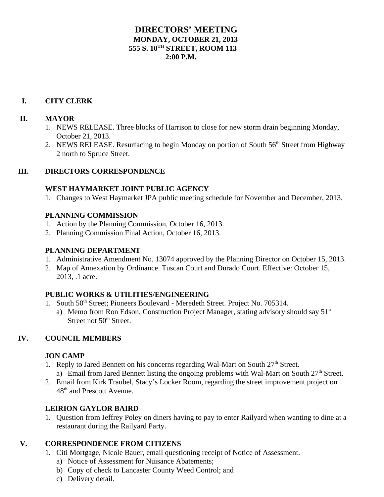## **DIRECTORS' MEETING MONDAY, OCTOBER 21, 2013 555 S. 10TH STREET, ROOM 113**  $2:00 \text{ P M}$

# **I. CITY CLERK**

#### **II. MAYOR**

- 1. NEWS RELEASE. Three blocks of Harrison to close for new storm drain beginning Monday, October 21, 2013.
- 2. NEWS RELEASE. Resurfacing to begin Monday on portion of South 56<sup>th</sup> Street from Highway 2 north to Spruce Street.

## **III. DIRECTORS CORRESPONDENCE**

#### **WEST HAYMARKET JOINT PUBLIC AGENCY**

1. Changes to West Haymarket JPA public meeting schedule for November and December, 2013.

## **PLANNING COMMISSION**

- 1. Action by the Planning Commission, October 16, 2013.
- 2. Planning Commission Final Action, October 16, 2013.

#### **PLANNING DEPARTMENT**

- 1. Administrative Amendment No. 13074 approved by the Planning Director on October 15, 2013.
- 2. Map of Annexation by Ordinance. Tuscan Court and Durado Court. Effective: October 15, 2013, .1 acre.

#### **PUBLIC WORKS & UTILITIES/ENGINEERING**

- 1. South 50<sup>th</sup> Street; Pioneers Boulevard Meredeth Street. Project No. 705314.
	- a) Memo from Ron Edson, Construction Project Manager, stating advisory should say  $51<sup>st</sup>$ Street not 50<sup>th</sup> Street.

# **IV. COUNCIL MEMBERS**

#### **JON CAMP**

- 1. Reply to Jared Bennett on his concerns regarding Wal-Mart on South 27<sup>th</sup> Street. a) Email from Jared Bennett listing the ongoing problems with Wal-Mart on South  $27<sup>th</sup>$  Street.
- 2. Email from Kirk Traubel, Stacy's Locker Room, regarding the street improvement project on 48<sup>th</sup> and Prescott Avenue.

# **LEIRION GAYLOR BAIRD**

1. Question from Jeffrey Poley on diners having to pay to enter Railyard when wanting to dine at a restaurant during the Railyard Party.

# **V. CORRESPONDENCE FROM CITIZENS**

- 1. Citi Mortgage, Nicole Bauer, email questioning receipt of Notice of Assessment.
	- a) Notice of Assessment for Nuisance Abatements;
	- b) Copy of check to Lancaster County Weed Control; and
	- c) Delivery detail.